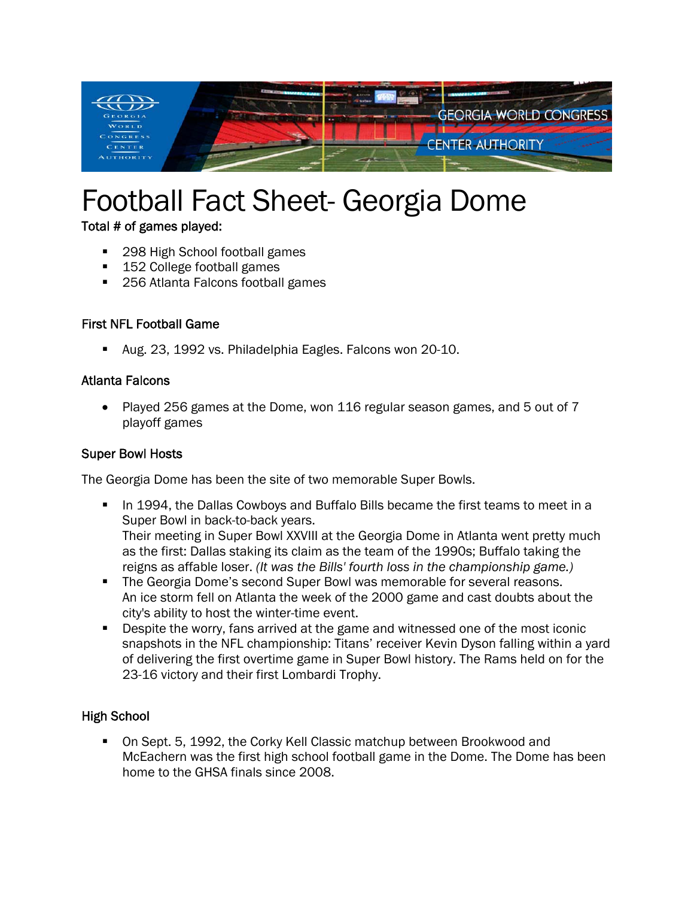

# Football Fact Sheet- Georgia Dome

Total # of games played:

- 298 High School football games
- 152 College football games
- 256 Atlanta Falcons football games

#### First NFL Football Game

Aug. 23, 1992 vs. Philadelphia Eagles. Falcons won 20-10.

#### Atlanta Falcons

• Played 256 games at the Dome, won 116 regular season games, and 5 out of 7 playoff games

#### Super Bowl Hosts

The Georgia Dome has been the site of two memorable Super Bowls.

- In 1994, the Dallas Cowboys and Buffalo Bills became the first teams to meet in a Super Bowl in back-to-back years. Their meeting in Super Bowl XXVIII at the Georgia Dome in Atlanta went pretty much as the first: Dallas staking its claim as the team of the 1990s; Buffalo taking the reigns as affable loser. *(It was the Bills' fourth loss in the championship game.)*
- The Georgia Dome's second Super Bowl was memorable for several reasons. An ice storm fell on Atlanta the week of the 2000 game and cast doubts about the city's ability to host the winter-time event.
- **Despite the worry, fans arrived at the game and witnessed one of the most iconic** snapshots in the NFL championship: Titans' receiver Kevin Dyson falling within a yard of delivering the first overtime game in Super Bowl history. The Rams held on for the 23-16 victory and their first Lombardi Trophy.

#### High School

 On Sept. 5, 1992, the Corky Kell Classic matchup between Brookwood and McEachern was the first high school football game in the Dome. The Dome has been home to the GHSA finals since 2008.